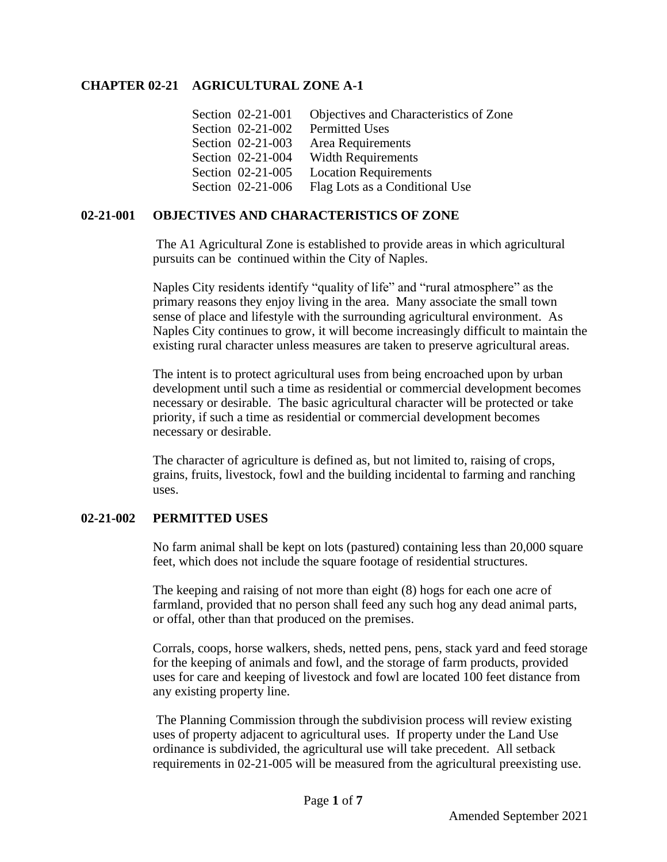#### **CHAPTER 02-21 AGRICULTURAL ZONE A-1**

| Section 02-21-001 | Objectives and Characteristics of Zone |
|-------------------|----------------------------------------|
| Section 02-21-002 | <b>Permitted Uses</b>                  |
| Section 02-21-003 | Area Requirements                      |
| Section 02-21-004 | <b>Width Requirements</b>              |
| Section 02-21-005 | <b>Location Requirements</b>           |
| Section 02-21-006 | Flag Lots as a Conditional Use         |

## **02-21-001 OBJECTIVES AND CHARACTERISTICS OF ZONE**

The A1 Agricultural Zone is established to provide areas in which agricultural pursuits can be continued within the City of Naples.

Naples City residents identify "quality of life" and "rural atmosphere" as the primary reasons they enjoy living in the area. Many associate the small town sense of place and lifestyle with the surrounding agricultural environment. As Naples City continues to grow, it will become increasingly difficult to maintain the existing rural character unless measures are taken to preserve agricultural areas.

The intent is to protect agricultural uses from being encroached upon by urban development until such a time as residential or commercial development becomes necessary or desirable. The basic agricultural character will be protected or take priority, if such a time as residential or commercial development becomes necessary or desirable.

The character of agriculture is defined as, but not limited to, raising of crops, grains, fruits, livestock, fowl and the building incidental to farming and ranching uses.

#### **02-21-002 PERMITTED USES**

No farm animal shall be kept on lots (pastured) containing less than 20,000 square feet, which does not include the square footage of residential structures.

The keeping and raising of not more than eight (8) hogs for each one acre of farmland, provided that no person shall feed any such hog any dead animal parts, or offal, other than that produced on the premises.

Corrals, coops, horse walkers, sheds, netted pens, pens, stack yard and feed storage for the keeping of animals and fowl, and the storage of farm products, provided uses for care and keeping of livestock and fowl are located 100 feet distance from any existing property line.

The Planning Commission through the subdivision process will review existing uses of property adjacent to agricultural uses. If property under the Land Use ordinance is subdivided, the agricultural use will take precedent. All setback requirements in 02-21-005 will be measured from the agricultural preexisting use.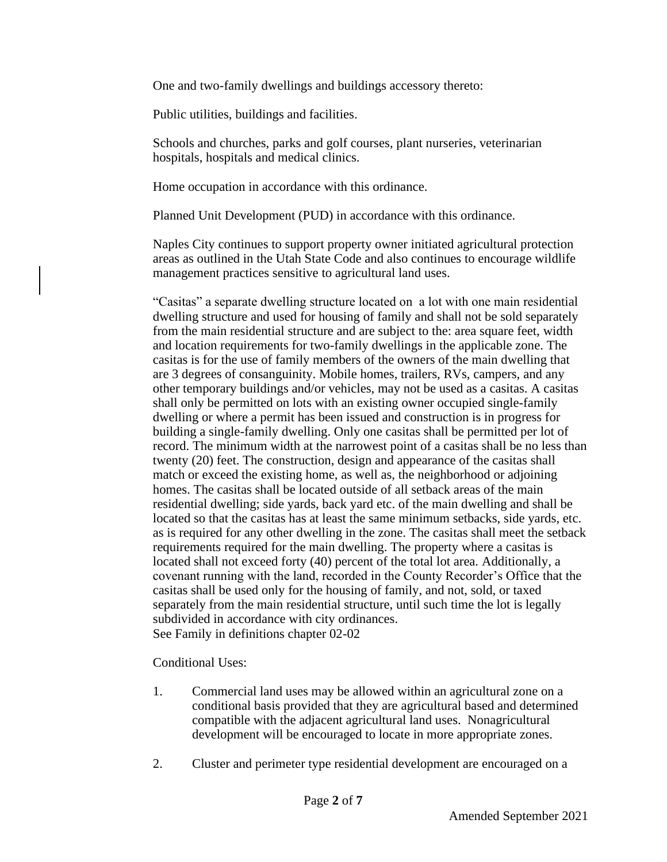One and two-family dwellings and buildings accessory thereto:

Public utilities, buildings and facilities.

Schools and churches, parks and golf courses, plant nurseries, veterinarian hospitals, hospitals and medical clinics.

Home occupation in accordance with this ordinance.

Planned Unit Development (PUD) in accordance with this ordinance.

Naples City continues to support property owner initiated agricultural protection areas as outlined in the Utah State Code and also continues to encourage wildlife management practices sensitive to agricultural land uses.

"Casitas" a separate dwelling structure located on a lot with one main residential dwelling structure and used for housing of family and shall not be sold separately from the main residential structure and are subject to the: area square feet, width and location requirements for two-family dwellings in the applicable zone. The casitas is for the use of family members of the owners of the main dwelling that are 3 degrees of consanguinity. Mobile homes, trailers, RVs, campers, and any other temporary buildings and/or vehicles, may not be used as a casitas. A casitas shall only be permitted on lots with an existing owner occupied single-family dwelling or where a permit has been issued and construction is in progress for building a single-family dwelling. Only one casitas shall be permitted per lot of record. The minimum width at the narrowest point of a casitas shall be no less than twenty (20) feet. The construction, design and appearance of the casitas shall match or exceed the existing home, as well as, the neighborhood or adjoining homes. The casitas shall be located outside of all setback areas of the main residential dwelling; side yards, back yard etc. of the main dwelling and shall be located so that the casitas has at least the same minimum setbacks, side yards, etc. as is required for any other dwelling in the zone. The casitas shall meet the setback requirements required for the main dwelling. The property where a casitas is located shall not exceed forty (40) percent of the total lot area. Additionally, a covenant running with the land, recorded in the County Recorder's Office that the casitas shall be used only for the housing of family, and not, sold, or taxed separately from the main residential structure, until such time the lot is legally subdivided in accordance with city ordinances. See Family in definitions chapter 02-02

Conditional Uses:

- 1. Commercial land uses may be allowed within an agricultural zone on a conditional basis provided that they are agricultural based and determined compatible with the adjacent agricultural land uses. Nonagricultural development will be encouraged to locate in more appropriate zones.
- 2. Cluster and perimeter type residential development are encouraged on a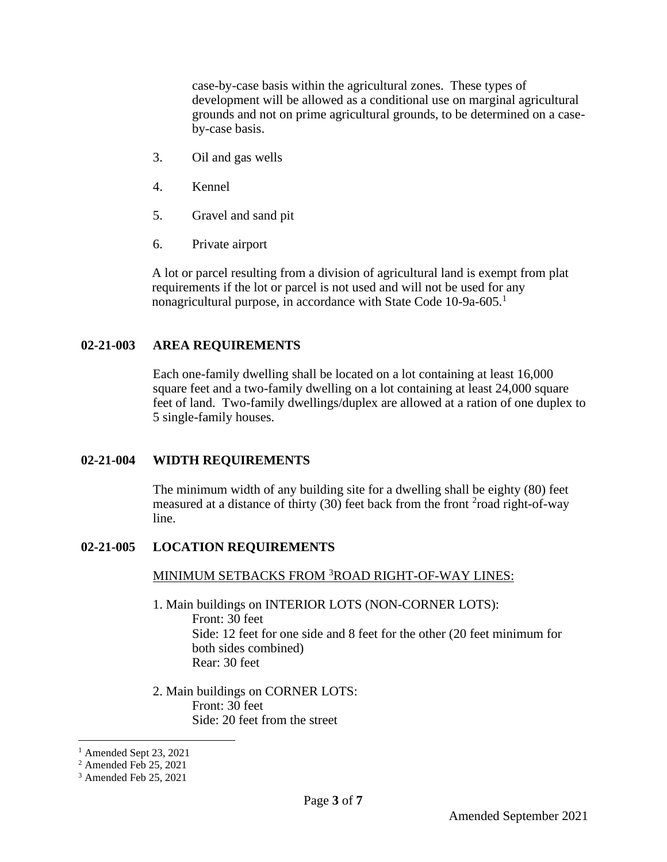case-by-case basis within the agricultural zones. These types of development will be allowed as a conditional use on marginal agricultural grounds and not on prime agricultural grounds, to be determined on a caseby-case basis.

- 3. Oil and gas wells
- 4. Kennel
- 5. Gravel and sand pit
- 6. Private airport

A lot or parcel resulting from a division of agricultural land is exempt from plat requirements if the lot or parcel is not used and will not be used for any nonagricultural purpose, in accordance with State Code 10-9a-605.<sup>1</sup>

## **02-21-003 AREA REQUIREMENTS**

Each one-family dwelling shall be located on a lot containing at least 16,000 square feet and a two-family dwelling on a lot containing at least 24,000 square feet of land. Two-family dwellings/duplex are allowed at a ration of one duplex to 5 single-family houses.

#### **02-21-004 WIDTH REQUIREMENTS**

The minimum width of any building site for a dwelling shall be eighty (80) feet measured at a distance of thirty (30) feet back from the front <sup>2</sup>road right-of-way line.

#### **02-21-005 LOCATION REQUIREMENTS**

#### MINIMUM SETBACKS FROM <sup>3</sup>ROAD RIGHT-OF-WAY LINES:

- 1. Main buildings on INTERIOR LOTS (NON-CORNER LOTS): Front: 30 feet Side: 12 feet for one side and 8 feet for the other (20 feet minimum for both sides combined) Rear: 30 feet
- 2. Main buildings on CORNER LOTS: Front: 30 feet Side: 20 feet from the street

 $<sup>1</sup>$  Amended Sept 23, 2021</sup>

<sup>2</sup> Amended Feb 25, 2021

<sup>3</sup> Amended Feb 25, 2021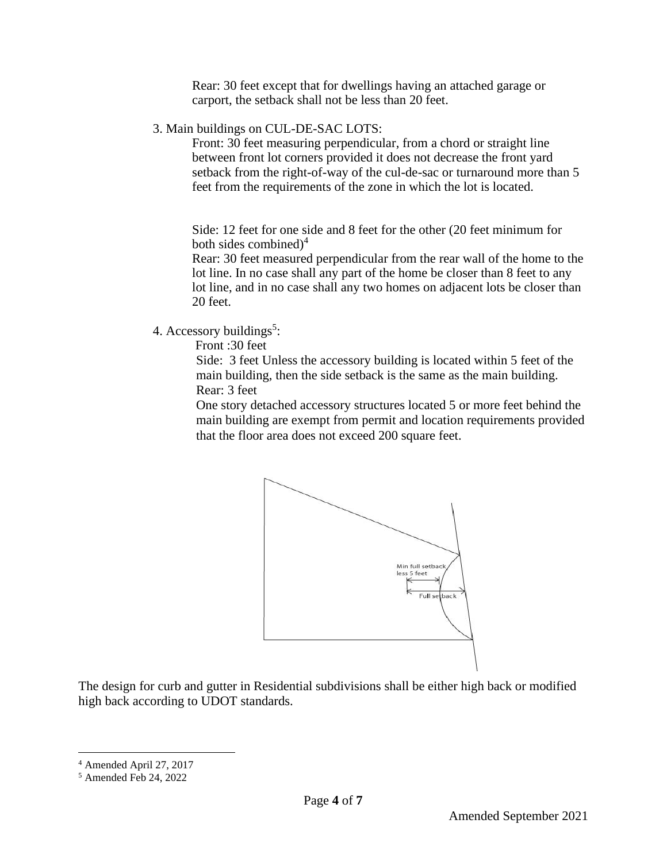Rear: 30 feet except that for dwellings having an attached garage or carport, the setback shall not be less than 20 feet.

3. Main buildings on CUL-DE-SAC LOTS:

Front: 30 feet measuring perpendicular, from a chord or straight line between front lot corners provided it does not decrease the front yard setback from the right-of-way of the cul-de-sac or turnaround more than 5 feet from the requirements of the zone in which the lot is located.

Side: 12 feet for one side and 8 feet for the other (20 feet minimum for both sides combined $)^4$ 

Rear: 30 feet measured perpendicular from the rear wall of the home to the lot line. In no case shall any part of the home be closer than 8 feet to any lot line, and in no case shall any two homes on adjacent lots be closer than 20 feet.

4. Accessory buildings<sup>5</sup>:

Front :30 feet

Side: 3 feet Unless the accessory building is located within 5 feet of the main building, then the side setback is the same as the main building. Rear: 3 feet

One story detached accessory structures located 5 or more feet behind the main building are exempt from permit and location requirements provided that the floor area does not exceed 200 square feet.



The design for curb and gutter in Residential subdivisions shall be either high back or modified high back according to UDOT standards.

<sup>4</sup> Amended April 27, 2017

<sup>5</sup> Amended Feb 24, 2022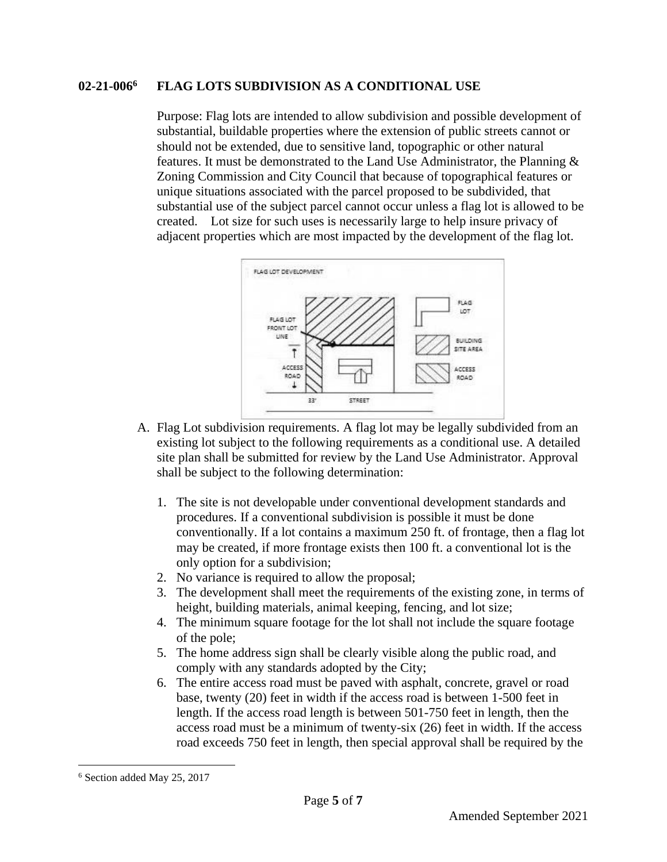## **02-21-006<sup>6</sup> FLAG LOTS SUBDIVISION AS A CONDITIONAL USE**

Purpose: Flag lots are intended to allow subdivision and possible development of substantial, buildable properties where the extension of public streets cannot or should not be extended, due to sensitive land, topographic or other natural features. It must be demonstrated to the Land Use Administrator, the Planning & Zoning Commission and City Council that because of topographical features or unique situations associated with the parcel proposed to be subdivided, that substantial use of the subject parcel cannot occur unless a flag lot is allowed to be created. Lot size for such uses is necessarily large to help insure privacy of adjacent properties which are most impacted by the development of the flag lot.



- A. Flag Lot subdivision requirements. A flag lot may be legally subdivided from an existing lot subject to the following requirements as a conditional use. A detailed site plan shall be submitted for review by the Land Use Administrator. Approval shall be subject to the following determination:
	- 1. The site is not developable under conventional development standards and procedures. If a conventional subdivision is possible it must be done conventionally. If a lot contains a maximum 250 ft. of frontage, then a flag lot may be created, if more frontage exists then 100 ft. a conventional lot is the only option for a subdivision;
	- 2. No variance is required to allow the proposal;
	- 3. The development shall meet the requirements of the existing zone, in terms of height, building materials, animal keeping, fencing, and lot size;
	- 4. The minimum square footage for the lot shall not include the square footage of the pole;
	- 5. The home address sign shall be clearly visible along the public road, and comply with any standards adopted by the City;
	- 6. The entire access road must be paved with asphalt, concrete, gravel or road base, twenty (20) feet in width if the access road is between 1-500 feet in length. If the access road length is between 501-750 feet in length, then the access road must be a minimum of twenty-six (26) feet in width. If the access road exceeds 750 feet in length, then special approval shall be required by the

<sup>6</sup> Section added May 25, 2017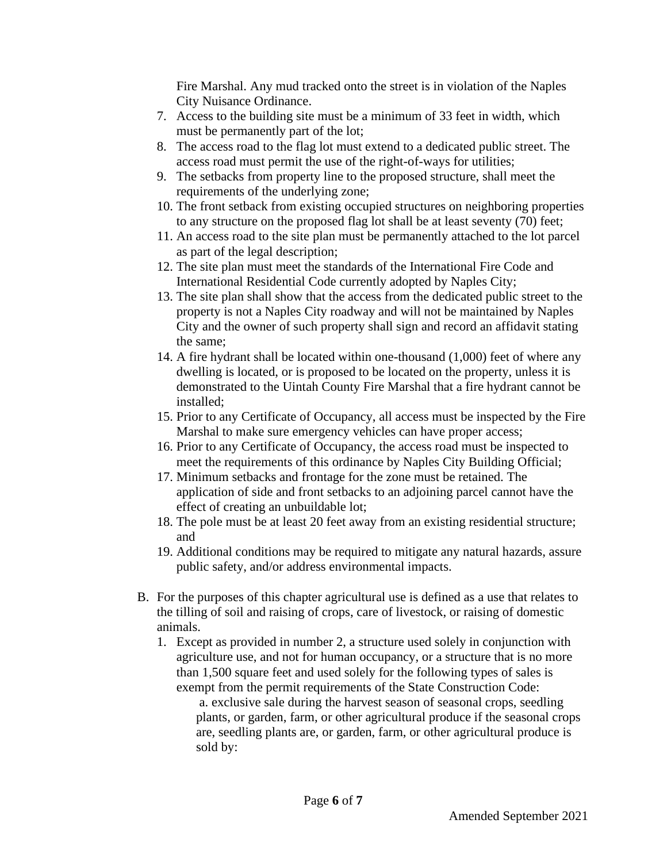Fire Marshal. Any mud tracked onto the street is in violation of the Naples City Nuisance Ordinance.

- 7. Access to the building site must be a minimum of 33 feet in width, which must be permanently part of the lot;
- 8. The access road to the flag lot must extend to a dedicated public street. The access road must permit the use of the right-of-ways for utilities;
- 9. The setbacks from property line to the proposed structure, shall meet the requirements of the underlying zone;
- 10. The front setback from existing occupied structures on neighboring properties to any structure on the proposed flag lot shall be at least seventy (70) feet;
- 11. An access road to the site plan must be permanently attached to the lot parcel as part of the legal description;
- 12. The site plan must meet the standards of the International Fire Code and International Residential Code currently adopted by Naples City;
- 13. The site plan shall show that the access from the dedicated public street to the property is not a Naples City roadway and will not be maintained by Naples City and the owner of such property shall sign and record an affidavit stating the same;
- 14. A fire hydrant shall be located within one-thousand (1,000) feet of where any dwelling is located, or is proposed to be located on the property, unless it is demonstrated to the Uintah County Fire Marshal that a fire hydrant cannot be installed;
- 15. Prior to any Certificate of Occupancy, all access must be inspected by the Fire Marshal to make sure emergency vehicles can have proper access;
- 16. Prior to any Certificate of Occupancy, the access road must be inspected to meet the requirements of this ordinance by Naples City Building Official;
- 17. Minimum setbacks and frontage for the zone must be retained. The application of side and front setbacks to an adjoining parcel cannot have the effect of creating an unbuildable lot;
- 18. The pole must be at least 20 feet away from an existing residential structure; and
- 19. Additional conditions may be required to mitigate any natural hazards, assure public safety, and/or address environmental impacts.
- B. For the purposes of this chapter agricultural use is defined as a use that relates to the tilling of soil and raising of crops, care of livestock, or raising of domestic animals.
	- 1. Except as provided in number 2, a structure used solely in conjunction with agriculture use, and not for human occupancy, or a structure that is no more than 1,500 square feet and used solely for the following types of sales is exempt from the permit requirements of the State Construction Code:

a. exclusive sale during the harvest season of seasonal crops, seedling plants, or garden, farm, or other agricultural produce if the seasonal crops are, seedling plants are, or garden, farm, or other agricultural produce is sold by: